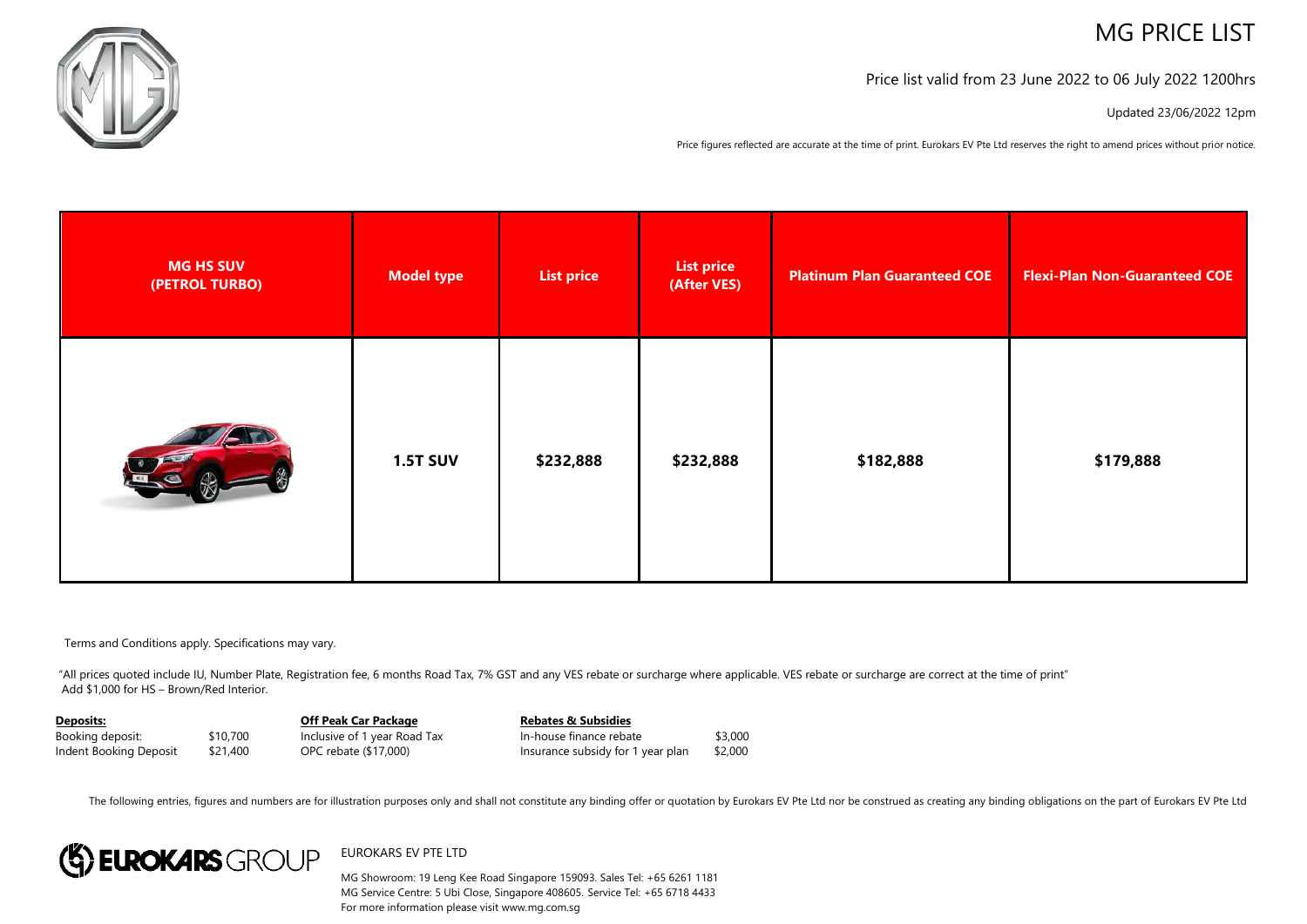# MG PRICE LIST



Price list valid from 23 June 2022 to 06 July 2022 1200hrs

Updated 23/06/2022 12pm

Price figures reflected are accurate at the time of print. Eurokars EV Pte Ltd reserves the right to amend prices without prior notice.

| <b>MG HS SUV</b><br>(PETROL TURBO) | Model type      | <b>List price</b> | <b>List price</b><br>(After VES) | <b>Platinum Plan Guaranteed COE</b> | <b>Flexi-Plan Non-Guaranteed COE</b> |
|------------------------------------|-----------------|-------------------|----------------------------------|-------------------------------------|--------------------------------------|
|                                    | <b>1.5T SUV</b> | \$232,888         | \$232,888                        | \$182,888                           | \$179,888                            |

Terms and Conditions apply. Specifications may vary.

"All prices quoted include IU, Number Plate, Registration fee, 6 months Road Tax, 7% GST and any VES rebate or surcharge where applicable. VES rebate or surcharge are correct at the time of print" Add \$1,000 for HS – Brown/Red Interior.

| Deposits:              |          | Off Peak Car Package         | <b>Rebates &amp; Subsidies</b>    |         |
|------------------------|----------|------------------------------|-----------------------------------|---------|
| Booking deposit:       | \$10,700 | Inclusive of 1 year Road Tax | In-house finance rebate           | \$3,000 |
| Indent Booking Deposit | \$21,400 | OPC rebate (\$17,000)        | Insurance subsidy for 1 year plan | \$2,000 |

The following entries, figures and numbers are for illustration purposes only and shall not constitute any binding offer or quotation by Eurokars EV Pte Ltd nor be construed as creating any binding obligations on the part



## EUROKARS EV PTE LTD

MG Showroom: 19 Leng Kee Road Singapore 159093. Sales Tel: +65 6261 1181 MG Service Centre: 5 Ubi Close, Singapore 408605. Service Tel: +65 6718 4433 For more information please visit www.mg.com.sg